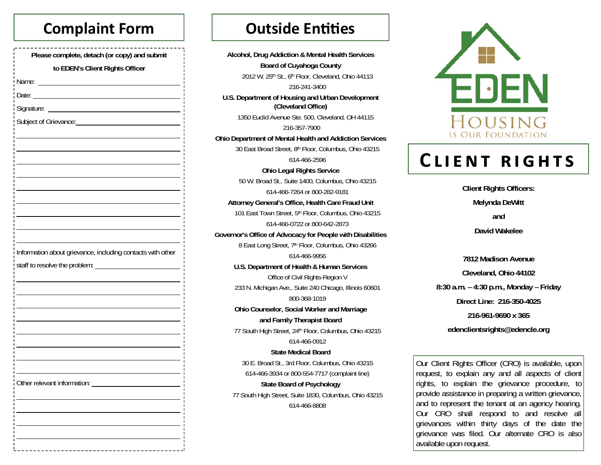# **Complaint Form**

| Please complete, detach (or copy) and submit               |
|------------------------------------------------------------|
| to EDEN's Client Rights Officer                            |
| Name:                                                      |
| Date:<br><u> 1989 - Johann Barbara, martxa a</u>           |
| Signature:                                                 |
|                                                            |
|                                                            |
|                                                            |
|                                                            |
|                                                            |
|                                                            |
|                                                            |
|                                                            |
|                                                            |
|                                                            |
| Information about grievance, including contacts with other |
| staff to resolve the problem:                              |
|                                                            |
|                                                            |
|                                                            |
|                                                            |
|                                                            |
|                                                            |
|                                                            |
|                                                            |
| Other relevant information:<br>ī                           |
| п<br>T<br>п<br>T                                           |
| п<br>T<br>п                                                |
| T<br>п<br>ı                                                |
| п<br>T<br>п                                                |
| ī<br>Ш                                                     |

# **Outside Entities**

Alcohol, Drug Addiction & Mental Health Services **Board of Cuyahoga County** 2012 W. 25th St., 6th Floor, Cleveland, Ohio 44113 216-241-3400 U.S. Department of Housing and Urban Development (Cleveland Office) 1350 Euclid Avenue Ste. 500, Cleveland, OH 44115 216-357-7900 **Ohio Department of Mental Health and Addiction Services** 30 East Broad Street, 8th Floor, Columbus, Ohio 43215 614-466-2596 **Ohio Legal Rights Service** 50 W. Broad St., Suite 1400, Columbus, Ohio 43215 614-466-7264 or 800-282-9181 Attorney General's Office, Health Care Fraud Unit 101 East Town Street, 5th Floor, Columbus, Ohio 43215 614-466-0722 or 800-642-2873 Governor's Office of Advocacy for People with Disabilities 8 East Long Street, 7th Floor, Columbus, Ohio 43266 614-466-9956 U.S. Department of Health & Human Services Office of Civil Rights-Region V 233 N. Michigan Ave., Suite 240 Chicago, Illinois 60601 800-368-1019 Ohio Counselor, Social Worker and Marriage and Family Therapist Board 77 South High Street, 24th Floor, Columbus, Ohio 43215 614-466-0912 **State Medical Board** 30 E. Broad St., 3rd Floor, Columbus, Ohio 43215 614-466-3934 or 800-554-7717 (complaint line) **State Board of Psychology** 77 South High Street, Suite 1830, Columbus, Ohio 43215 614-466-8808



# **CLIENT RIGHTS**

**Client Rights Officers:** Melynda DeWitt and David Wakelee 7812 Madison Avenue

Cleveland, Ohio 44102 8:30 a.m.  $-$  4:30 p.m., Monday  $-$  Friday Direct Line: 216-350-4025 216-961-9690 x 365 edenclientsrights@edencle.org

Our Client Rights Officer (CRO) is available, upon request, to explain any and all aspects of client rights, to explain the grievance procedure, to provide assistance in preparing a written grievance, and to represent the tenant at an agency hearing. Our CRO shall respond to and resolve all grievances within thirty days of the date the grievance was filed. Our alternate CRO is also available upon request.